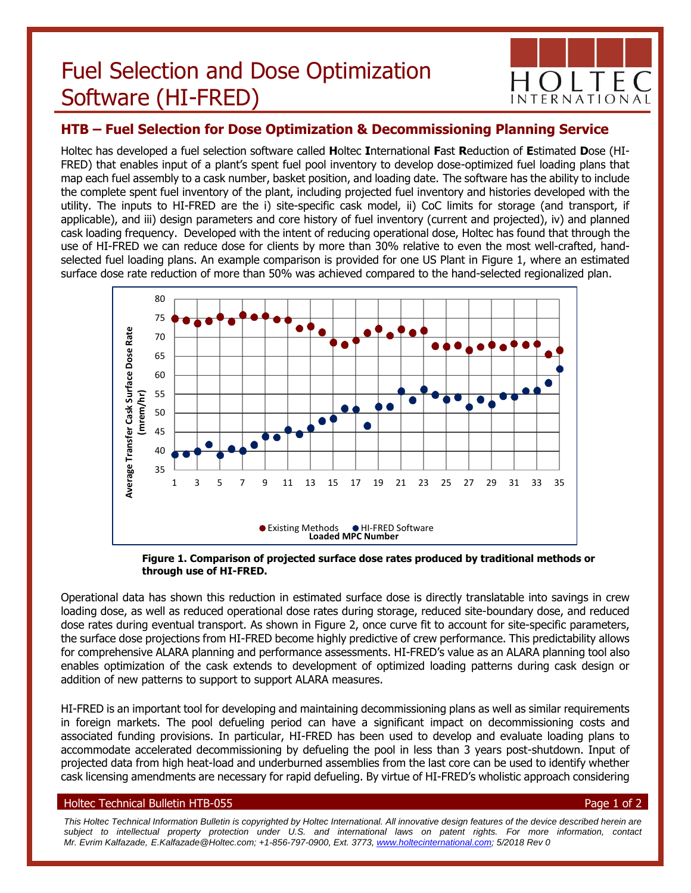# Fuel Selection and Dose Optimization Software (HI-FRED)



# **HTB – Fuel Selection for Dose Optimization & Decommissioning Planning Service**

Holtec has developed a fuel selection software called **H**oltec **I**nternational **F**ast **R**eduction of **E**stimated **D**ose (HI-FRED) that enables input of a plant's spent fuel pool inventory to develop dose-optimized fuel loading plans that map each fuel assembly to a cask number, basket position, and loading date. The software has the ability to include the complete spent fuel inventory of the plant, including projected fuel inventory and histories developed with the utility. The inputs to HI-FRED are the i) site-specific cask model, ii) CoC limits for storage (and transport, if applicable), and iii) design parameters and core history of fuel inventory (current and projected), iv) and planned cask loading frequency. Developed with the intent of reducing operational dose, Holtec has found that through the use of HI-FRED we can reduce dose for clients by more than 30% relative to even the most well-crafted, handselected fuel loading plans. An example comparison is provided for one US Plant in Figure 1, where an estimated surface dose rate reduction of more than 50% was achieved compared to the hand-selected regionalized plan.



**Figure 1. Comparison of projected surface dose rates produced by traditional methods or through use of HI-FRED.**

Operational data has shown this reduction in estimated surface dose is directly translatable into savings in crew loading dose, as well as reduced operational dose rates during storage, reduced site-boundary dose, and reduced dose rates during eventual transport. As shown in Figure 2, once curve fit to account for site-specific parameters, the surface dose projections from HI-FRED become highly predictive of crew performance. This predictability allows for comprehensive ALARA planning and performance assessments. HI-FRED's value as an ALARA planning tool also enables optimization of the cask extends to development of optimized loading patterns during cask design or addition of new patterns to support to support ALARA measures.

HI-FRED is an important tool for developing and maintaining decommissioning plans as well as similar requirements in foreign markets. The pool defueling period can have a significant impact on decommissioning costs and associated funding provisions. In particular, HI-FRED has been used to develop and evaluate loading plans to accommodate accelerated decommissioning by defueling the pool in less than 3 years post-shutdown. Input of projected data from high heat-load and underburned assemblies from the last core can be used to identify whether cask licensing amendments are necessary for rapid defueling. By virtue of HI-FRED's wholistic approach considering

## Holtec Technical Bulletin HTB-055 Page 1 of 2

*This Holtec Technical Information Bulletin is copyrighted by Holtec International. All innovative design features of the device described herein are subject to intellectual property protection under U.S. and international laws on patent rights. For more information, contact Mr. Evrim Kalfazade, E.Kalfazade@Holtec.com; +1-856-797-0900, Ext. 3773, [www.holtecinternational.com;](http://www.holtecinternational.com/) 5/2018 Rev 0*